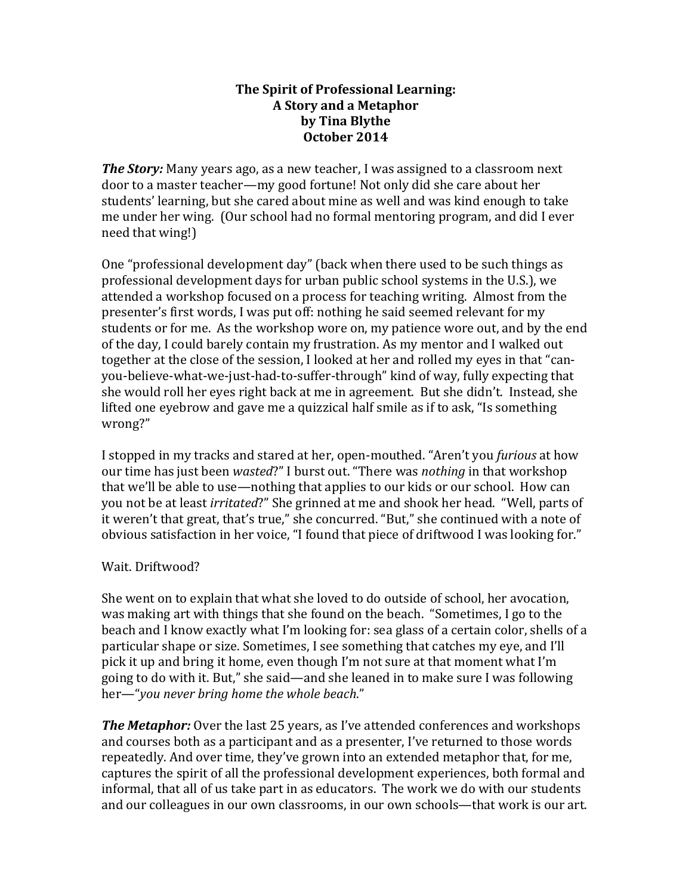## **The Spirit of Professional Learning: A Story and a Metaphor by\$Tina\$Blythe October\$2014**

*The Story:* Many years ago, as a new teacher. I was assigned to a classroom next door to a master teacher—my good fortune! Not only did she care about her students' learning, but she cared about mine as well and was kind enough to take me under her wing. (Our school had no formal mentoring program, and did I ever need that wing!)

One "professional development day" (back when there used to be such things as professional development days for urban public school systems in the U.S.), we attended a workshop focused on a process for teaching writing. Almost from the presenter's first words. I was put off: nothing he said seemed relevant for my students or for me. As the workshop wore on, my patience wore out, and by the end of the day, I could barely contain my frustration. As my mentor and I walked out together at the close of the session, I looked at her and rolled my eyes in that "canyou-believe-what-we-just-had-to-suffer-through" kind of way, fully expecting that she would roll her eyes right back at me in agreement. But she didn't. Instead, she lifted one eyebrow and gave me a quizzical half smile as if to ask, "Is something wrong?"

I stopped in my tracks and stared at her, open-mouthed. "Aren't you *furious* at how our time has just been *wasted*?" I burst out. "There was *nothing* in that workshop that we'll be able to use—nothing that applies to our kids or our school. How can you not be at least *irritated*?" She grinned at me and shook her head. "Well, parts of it weren't that great, that's true," she concurred. "But," she continued with a note of obvious satisfaction in her voice, "I found that piece of driftwood I was looking for."

## Wait. Driftwood?

She went on to explain that what she loved to do outside of school, her avocation, was making art with things that she found on the beach. "Sometimes, I go to the beach and I know exactly what I'm looking for: sea glass of a certain color, shells of a particular shape or size. Sometimes, I see something that catches my eye, and I'll pick it up and bring it home, even though I'm not sure at that moment what I'm going to do with it. But," she said—and she leaned in to make sure I was following her—"you never bring home the whole beach."

**The Metaphor:** Over the last 25 years, as I've attended conferences and workshops and courses both as a participant and as a presenter, I've returned to those words repeatedly. And over time, they've grown into an extended metaphor that, for me, captures the spirit of all the professional development experiences, both formal and informal, that all of us take part in as educators. The work we do with our students and our colleagues in our own classrooms, in our own schools—that work is our art.